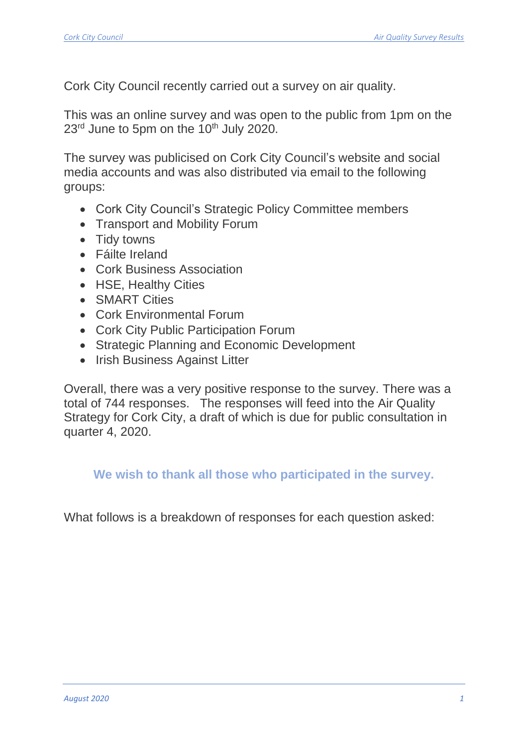Cork City Council recently carried out a survey on air quality.

This was an online survey and was open to the public from 1pm on the  $23<sup>rd</sup>$  June to 5pm on the  $10<sup>th</sup>$  July 2020.

The survey was publicised on Cork City Council's website and social media accounts and was also distributed via email to the following groups:

- Cork City Council's Strategic Policy Committee members
- Transport and Mobility Forum
- Tidy towns
- Fáilte Ireland
- Cork Business Association
- HSE, Healthy Cities
- SMART Cities
- Cork Environmental Forum
- Cork City Public Participation Forum
- Strategic Planning and Economic Development
- Irish Business Against Litter

Overall, there was a very positive response to the survey. There was a total of 744 responses. The responses will feed into the Air Quality Strategy for Cork City, a draft of which is due for public consultation in quarter 4, 2020.

**We wish to thank all those who participated in the survey.**

What follows is a breakdown of responses for each question asked: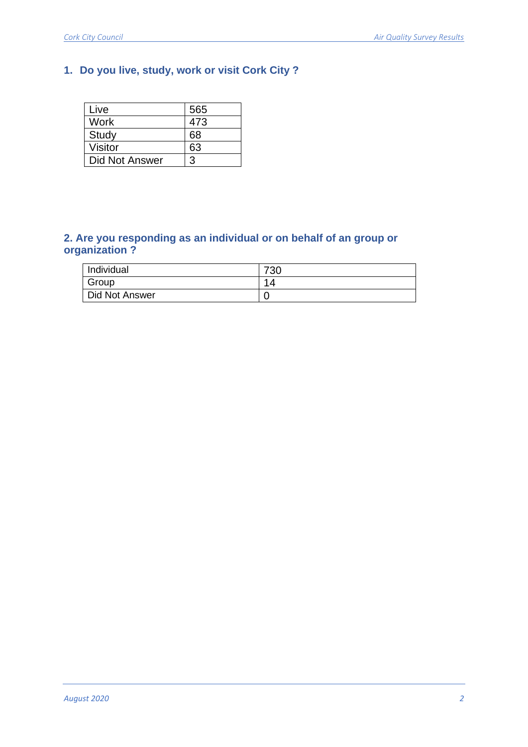# **1. Do you live, study, work or visit Cork City ?**

| Live           | 565 |
|----------------|-----|
| Work           | 473 |
| Study          | 68  |
| <b>Visitor</b> | 63  |
| Did Not Answer | 3   |

#### **2. Are you responding as an individual or on behalf of an group or organization ?**

| Individual     | 720<br>' o∪ |
|----------------|-------------|
| Group          | ↗           |
| Did Not Answer |             |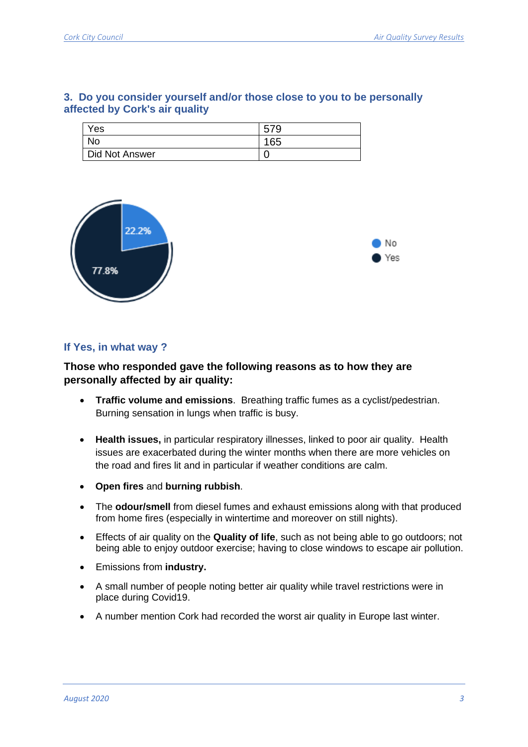| Yes            | 579 |
|----------------|-----|
|                | 165 |
| Did Not Answer |     |







#### **If Yes, in what way ?**

#### **Those who responded gave the following reasons as to how they are personally affected by air quality:**

- **Traffic volume and emissions**. Breathing traffic fumes as a cyclist/pedestrian. Burning sensation in lungs when traffic is busy.
- **Health issues,** in particular respiratory illnesses, linked to poor air quality. Health issues are exacerbated during the winter months when there are more vehicles on the road and fires lit and in particular if weather conditions are calm.
- **Open fires** and **burning rubbish**.
- The **odour/smell** from diesel fumes and exhaust emissions along with that produced from home fires (especially in wintertime and moreover on still nights).
- Effects of air quality on the **Quality of life**, such as not being able to go outdoors; not being able to enjoy outdoor exercise; having to close windows to escape air pollution.
- Emissions from **industry.**
- A small number of people noting better air quality while travel restrictions were in place during Covid19.
- A number mention Cork had recorded the worst air quality in Europe last winter.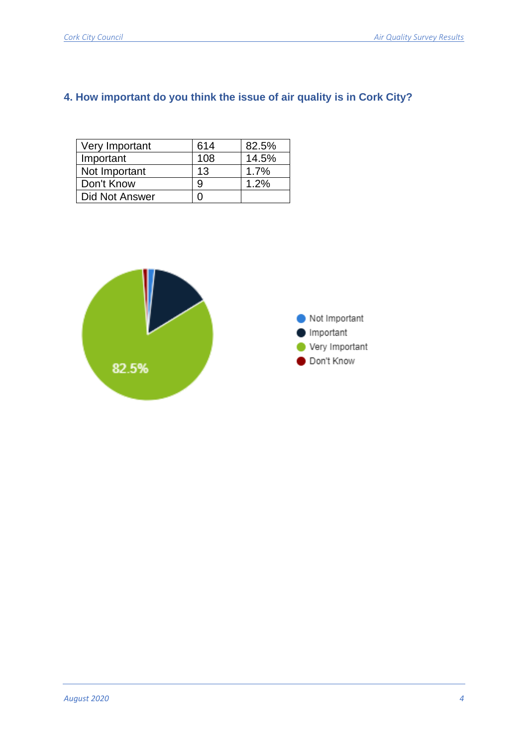# **4. How important do you think the issue of air quality is in Cork City?**

| Very Important | 614 | 82.5% |
|----------------|-----|-------|
| Important      | 108 | 14.5% |
| Not Important  | 13  | 1.7%  |
| Don't Know     | 9   | 1.2%  |
| Did Not Answer |     |       |

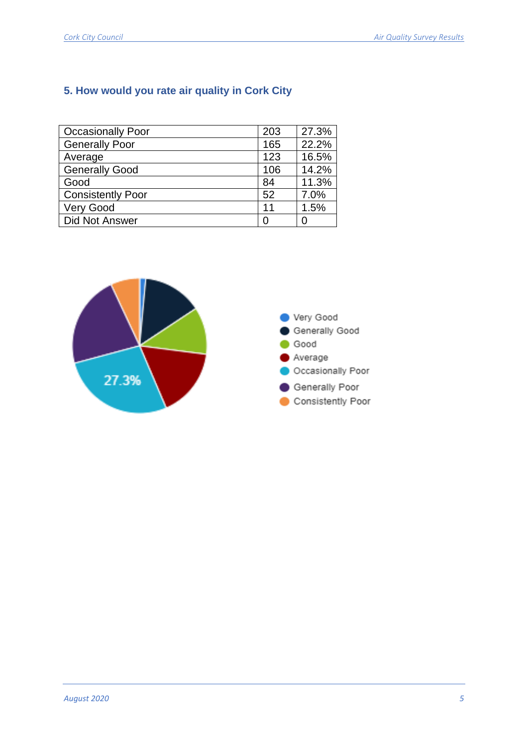# **5. How would you rate air quality in Cork City**

| <b>Occasionally Poor</b> | 203 | 27.3% |
|--------------------------|-----|-------|
| <b>Generally Poor</b>    | 165 | 22.2% |
| Average                  | 123 | 16.5% |
| <b>Generally Good</b>    | 106 | 14.2% |
| Good                     | 84  | 11.3% |
| <b>Consistently Poor</b> | 52  | 7.0%  |
| <b>Very Good</b>         | 11  | 1.5%  |
| <b>Did Not Answer</b>    | O   | 0     |

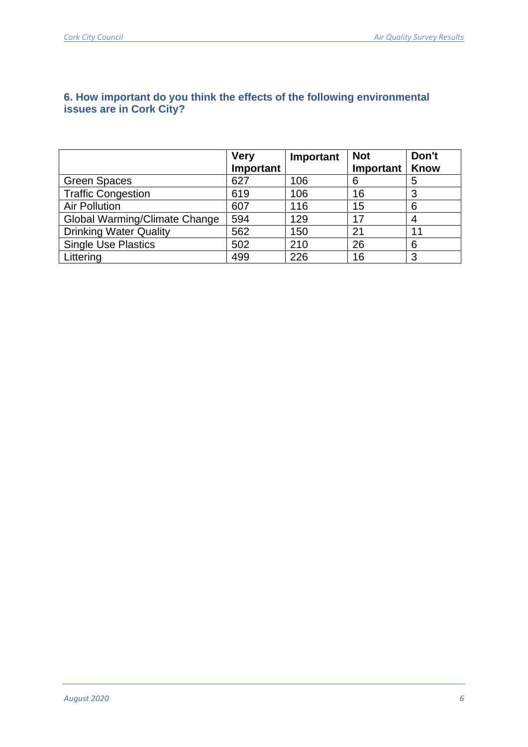|                               | <b>Very</b><br>Important | Important | <b>Not</b><br>Important | Don't<br>Know |
|-------------------------------|--------------------------|-----------|-------------------------|---------------|
| <b>Green Spaces</b>           | 627                      | 106       | 6                       | 5             |
| <b>Traffic Congestion</b>     | 619                      | 106       | 16                      | 3             |
| <b>Air Pollution</b>          | 607                      | 116       | 15                      | 6             |
| Global Warming/Climate Change | 594                      | 129       | 17                      |               |
| <b>Drinking Water Quality</b> | 562                      | 150       | 21                      | 11            |
| <b>Single Use Plastics</b>    | 502                      | 210       | 26                      | 6             |
| Littering                     | 499                      | 226       | 16                      | 3             |

## **6. How important do you think the effects of the following environmental issues are in Cork City?**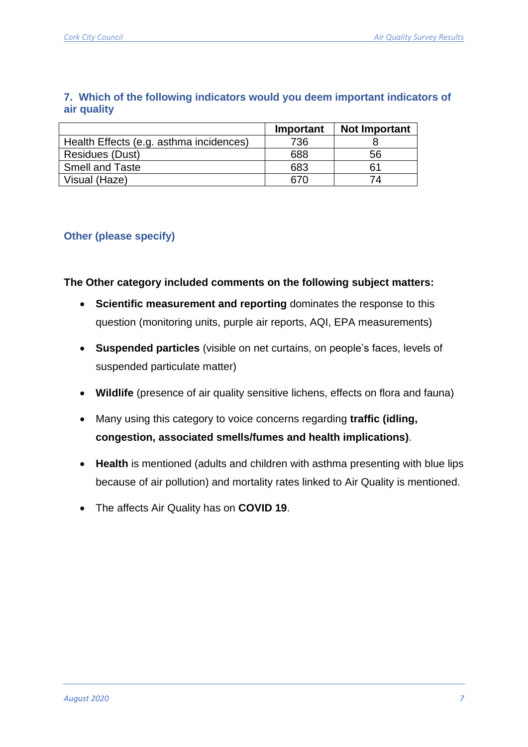|                                         | Important | <b>Not Important</b> |
|-----------------------------------------|-----------|----------------------|
| Health Effects (e.g. asthma incidences) | 736       |                      |
| <b>Residues (Dust)</b>                  | 688       | 56                   |
| <b>Smell and Taste</b>                  | 683       | 61                   |
| Visual (Haze)                           | 670       | 74                   |

#### **7. Which of the following indicators would you deem important indicators of air quality**

## **Other (please specify)**

#### **The Other category included comments on the following subject matters:**

- **Scientific measurement and reporting** dominates the response to this question (monitoring units, purple air reports, AQI, EPA measurements)
- **Suspended particles** (visible on net curtains, on people's faces, levels of suspended particulate matter)
- **Wildlife** (presence of air quality sensitive lichens, effects on flora and fauna)
- Many using this category to voice concerns regarding **traffic (idling, congestion, associated smells/fumes and health implications)**.
- **Health** is mentioned (adults and children with asthma presenting with blue lips because of air pollution) and mortality rates linked to Air Quality is mentioned.
- The affects Air Quality has on **COVID 19**.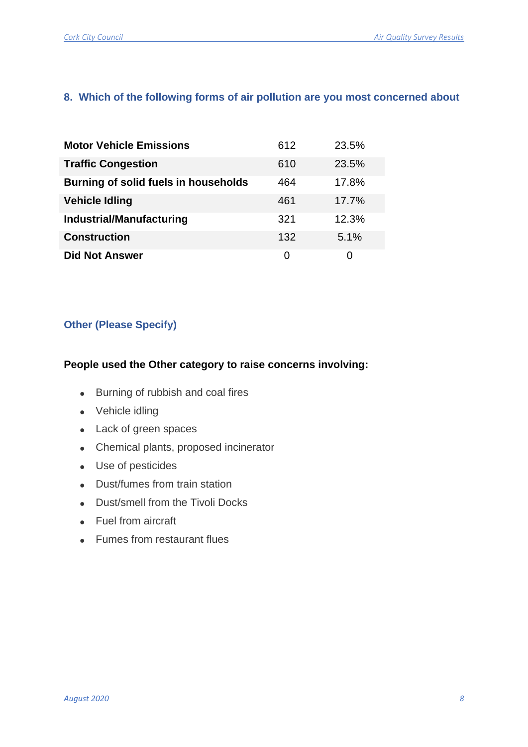## **8. Which of the following forms of air pollution are you most concerned about**

| <b>Motor Vehicle Emissions</b>       | 612 | 23.5% |
|--------------------------------------|-----|-------|
| <b>Traffic Congestion</b>            | 610 | 23.5% |
| Burning of solid fuels in households | 464 | 17.8% |
| <b>Vehicle Idling</b>                | 461 | 17.7% |
| <b>Industrial/Manufacturing</b>      | 321 | 12.3% |
| <b>Construction</b>                  | 132 | 5.1%  |
| <b>Did Not Answer</b>                | O   | 0     |

#### **Other (Please Specify)**

## **People used the Other category to raise concerns involving:**

- Burning of rubbish and coal fires
- Vehicle idling
- Lack of green spaces
- Chemical plants, proposed incinerator
- Use of pesticides
- Dust/fumes from train station
- Dust/smell from the Tivoli Docks
- Fuel from aircraft
- Fumes from restaurant flues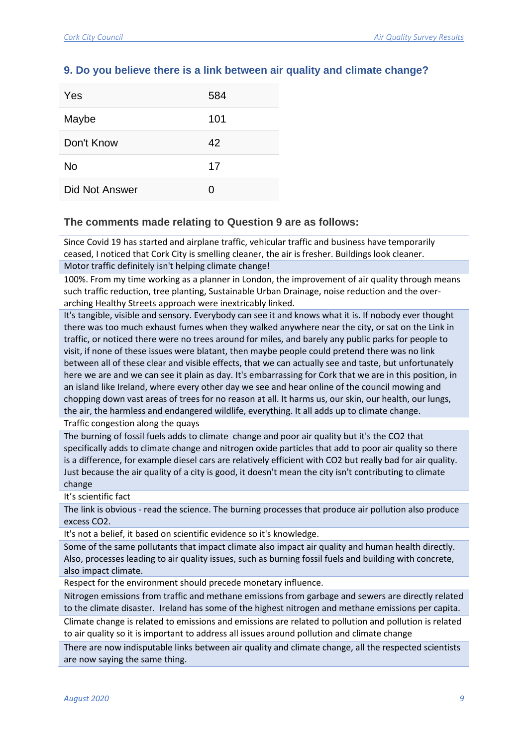### **9. Do you believe there is a link between air quality and climate change?**

| Yes            | 584 |
|----------------|-----|
| Maybe          | 101 |
| Don't Know     | 42  |
| No             | 17  |
| Did Not Answer | O   |

#### **The comments made relating to Question 9 are as follows:**

Since Covid 19 has started and airplane traffic, vehicular traffic and business have temporarily ceased, I noticed that Cork City is smelling cleaner, the air is fresher. Buildings look cleaner.

Motor traffic definitely isn't helping climate change!

100%. From my time working as a planner in London, the improvement of air quality through means such traffic reduction, tree planting, Sustainable Urban Drainage, noise reduction and the overarching Healthy Streets approach were inextricably linked.

It's tangible, visible and sensory. Everybody can see it and knows what it is. If nobody ever thought there was too much exhaust fumes when they walked anywhere near the city, or sat on the Link in traffic, or noticed there were no trees around for miles, and barely any public parks for people to visit, if none of these issues were blatant, then maybe people could pretend there was no link between all of these clear and visible effects, that we can actually see and taste, but unfortunately here we are and we can see it plain as day. It's embarrassing for Cork that we are in this position, in an island like Ireland, where every other day we see and hear online of the council mowing and chopping down vast areas of trees for no reason at all. It harms us, our skin, our health, our lungs, the air, the harmless and endangered wildlife, everything. It all adds up to climate change.

Traffic congestion along the quays

The burning of fossil fuels adds to climate change and poor air quality but it's the CO2 that specifically adds to climate change and nitrogen oxide particles that add to poor air quality so there is a difference, for example diesel cars are relatively efficient with CO2 but really bad for air quality. Just because the air quality of a city is good, it doesn't mean the city isn't contributing to climate change

It's scientific fact

The link is obvious - read the science. The burning processes that produce air pollution also produce excess CO2.

It's not a belief, it based on scientific evidence so it's knowledge.

Some of the same pollutants that impact climate also impact air quality and human health directly. Also, processes leading to air quality issues, such as burning fossil fuels and building with concrete, also impact climate.

Respect for the environment should precede monetary influence.

Nitrogen emissions from traffic and methane emissions from garbage and sewers are directly related to the climate disaster. Ireland has some of the highest nitrogen and methane emissions per capita.

Climate change is related to emissions and emissions are related to pollution and pollution is related to air quality so it is important to address all issues around pollution and climate change

There are now indisputable links between air quality and climate change, all the respected scientists are now saying the same thing.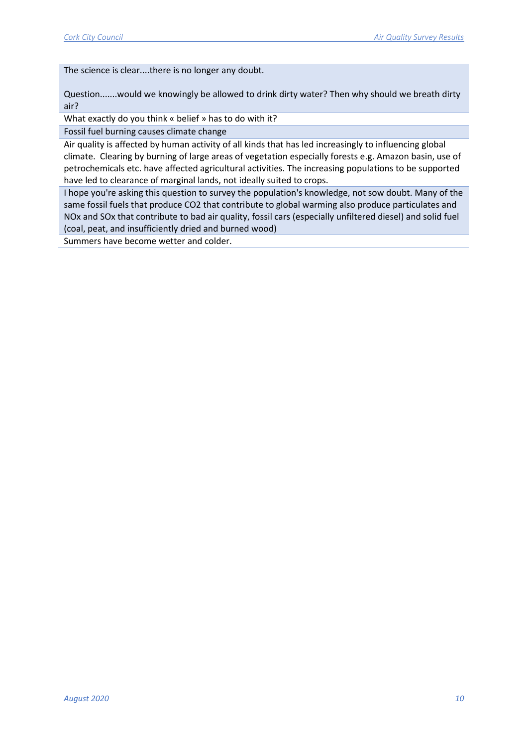The science is clear....there is no longer any doubt.

Question.......would we knowingly be allowed to drink dirty water? Then why should we breath dirty air?

What exactly do you think « belief » has to do with it?

Fossil fuel burning causes climate change

Air quality is affected by human activity of all kinds that has led increasingly to influencing global climate. Clearing by burning of large areas of vegetation especially forests e.g. Amazon basin, use of petrochemicals etc. have affected agricultural activities. The increasing populations to be supported have led to clearance of marginal lands, not ideally suited to crops.

I hope you're asking this question to survey the population's knowledge, not sow doubt. Many of the same fossil fuels that produce CO2 that contribute to global warming also produce particulates and NOx and SOx that contribute to bad air quality, fossil cars (especially unfiltered diesel) and solid fuel (coal, peat, and insufficiently dried and burned wood)

Summers have become wetter and colder.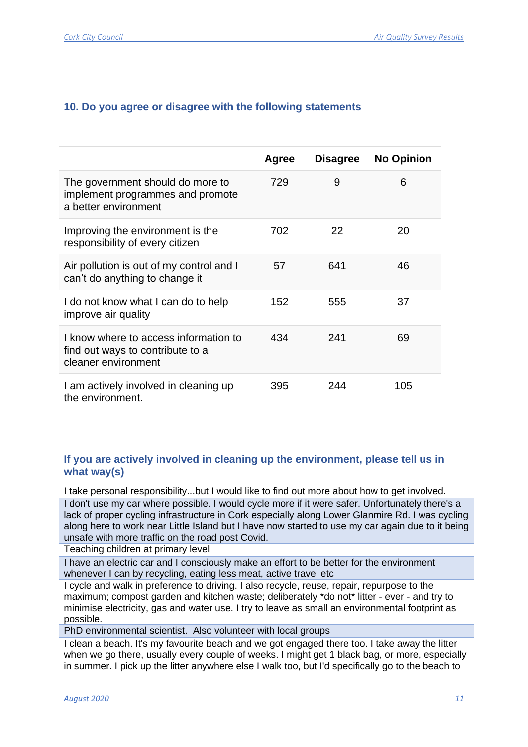|                                                                                                  | Agree | <b>Disagree</b> | <b>No Opinion</b> |
|--------------------------------------------------------------------------------------------------|-------|-----------------|-------------------|
| The government should do more to<br>implement programmes and promote<br>a better environment     | 729   | 9               | 6                 |
| Improving the environment is the<br>responsibility of every citizen                              | 702   | 22              | 20                |
| Air pollution is out of my control and I<br>can't do anything to change it                       | 57    | 641             | 46                |
| I do not know what I can do to help<br>improve air quality                                       | 152   | 555             | 37                |
| I know where to access information to<br>find out ways to contribute to a<br>cleaner environment | 434   | 241             | 69                |
| I am actively involved in cleaning up<br>the environment.                                        | 395   | 244             | 105               |

## **If you are actively involved in cleaning up the environment, please tell us in what way(s)**

I take personal responsibility...but I would like to find out more about how to get involved. I don't use my car where possible. I would cycle more if it were safer. Unfortunately there's a lack of proper cycling infrastructure in Cork especially along Lower Glanmire Rd. I was cycling along here to work near Little Island but I have now started to use my car again due to it being unsafe with more traffic on the road post Covid.

Teaching children at primary level

I have an electric car and I consciously make an effort to be better for the environment whenever I can by recycling, eating less meat, active travel etc

I cycle and walk in preference to driving. I also recycle, reuse, repair, repurpose to the maximum; compost garden and kitchen waste; deliberately \*do not\* litter - ever - and try to minimise electricity, gas and water use. I try to leave as small an environmental footprint as possible.

PhD environmental scientist. Also volunteer with local groups

I clean a beach. It's my favourite beach and we got engaged there too. I take away the litter when we go there, usually every couple of weeks. I might get 1 black bag, or more, especially in summer. I pick up the litter anywhere else I walk too, but I'd specifically go to the beach to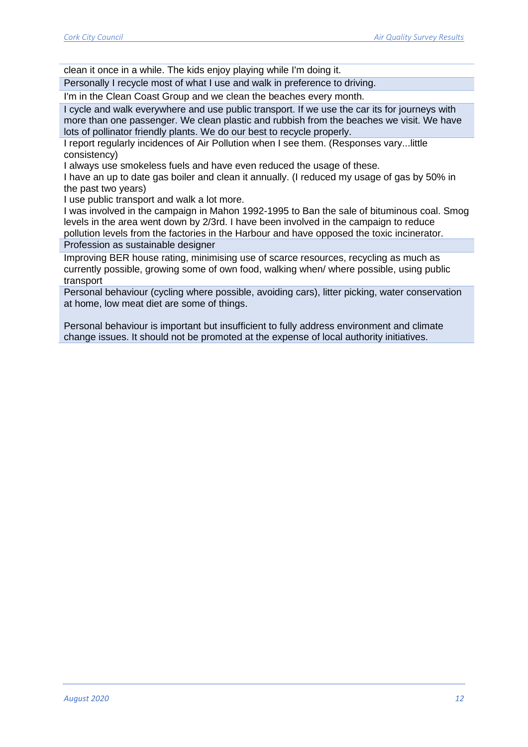clean it once in a while. The kids enjoy playing while I'm doing it.

Personally I recycle most of what I use and walk in preference to driving.

I'm in the Clean Coast Group and we clean the beaches every month.

I cycle and walk everywhere and use public transport. If we use the car its for journeys with more than one passenger. We clean plastic and rubbish from the beaches we visit. We have lots of pollinator friendly plants. We do our best to recycle properly.

I report regularly incidences of Air Pollution when I see them. (Responses vary...little consistency)

I always use smokeless fuels and have even reduced the usage of these.

I have an up to date gas boiler and clean it annually. (I reduced my usage of gas by 50% in the past two years)

I use public transport and walk a lot more.

I was involved in the campaign in Mahon 1992-1995 to Ban the sale of bituminous coal. Smog levels in the area went down by 2/3rd. I have been involved in the campaign to reduce

pollution levels from the factories in the Harbour and have opposed the toxic incinerator. Profession as sustainable designer

Improving BER house rating, minimising use of scarce resources, recycling as much as currently possible, growing some of own food, walking when/ where possible, using public transport

Personal behaviour (cycling where possible, avoiding cars), litter picking, water conservation at home, low meat diet are some of things.

Personal behaviour is important but insufficient to fully address environment and climate change issues. It should not be promoted at the expense of local authority initiatives.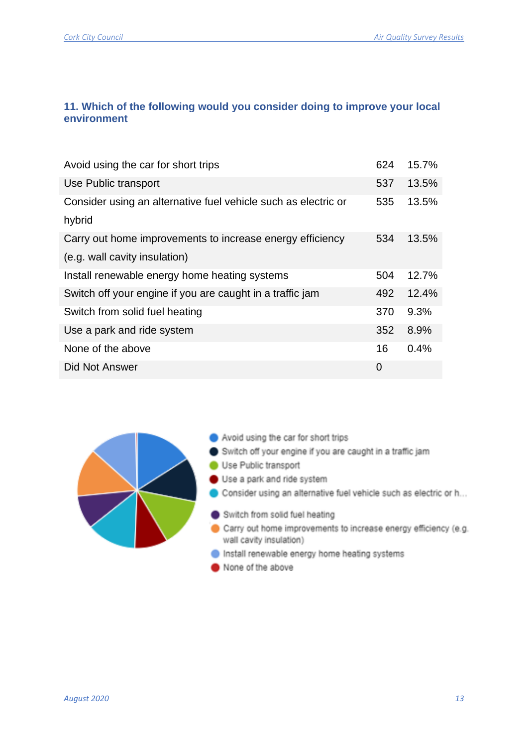## **11. Which of the following would you consider doing to improve your local environment**

| Avoid using the car for short trips                            | 624 | 15.7% |
|----------------------------------------------------------------|-----|-------|
| Use Public transport                                           | 537 | 13.5% |
| Consider using an alternative fuel vehicle such as electric or | 535 | 13.5% |
| hybrid                                                         |     |       |
| Carry out home improvements to increase energy efficiency      | 534 | 13.5% |
| (e.g. wall cavity insulation)                                  |     |       |
| Install renewable energy home heating systems                  | 504 | 12.7% |
| Switch off your engine if you are caught in a traffic jam      | 492 | 12.4% |
| Switch from solid fuel heating                                 | 370 | 9.3%  |
| Use a park and ride system                                     | 352 | 8.9%  |
| None of the above                                              | 16  | 0.4%  |
| Did Not Answer                                                 | 0   |       |

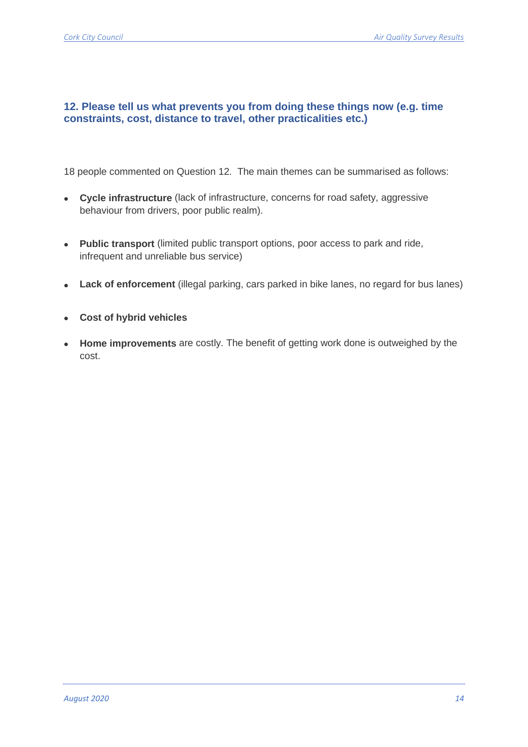#### **12. Please tell us what prevents you from doing these things now (e.g. time constraints, cost, distance to travel, other practicalities etc.)**

18 people commented on Question 12. The main themes can be summarised as follows:

- **Cycle infrastructure** (lack of infrastructure, concerns for road safety, aggressive behaviour from drivers, poor public realm).
- **Public transport** (limited public transport options, poor access to park and ride, infrequent and unreliable bus service)
- **Lack of enforcement** (illegal parking, cars parked in bike lanes, no regard for bus lanes)
- **Cost of hybrid vehicles**
- **Home improvements** are costly. The benefit of getting work done is outweighed by the cost.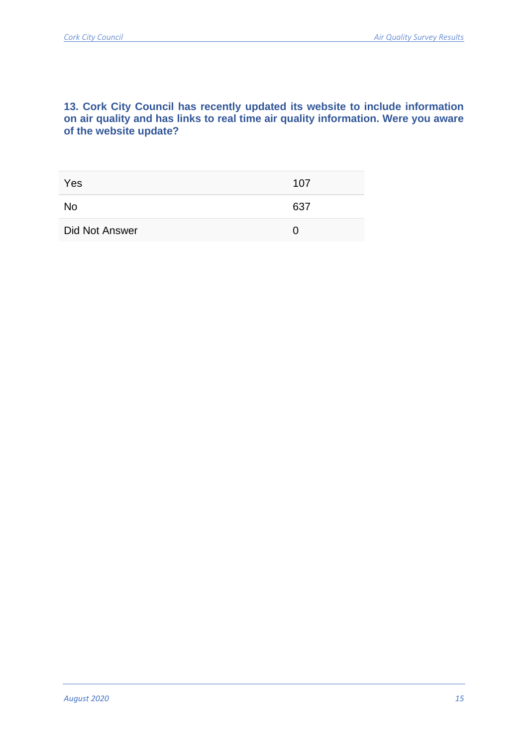#### **13. Cork City Council has recently updated its website to include information on air quality and has links to real time air quality information. Were you aware of the website update?**

| Yes            | 107 |
|----------------|-----|
| <b>No</b>      | 637 |
| Did Not Answer |     |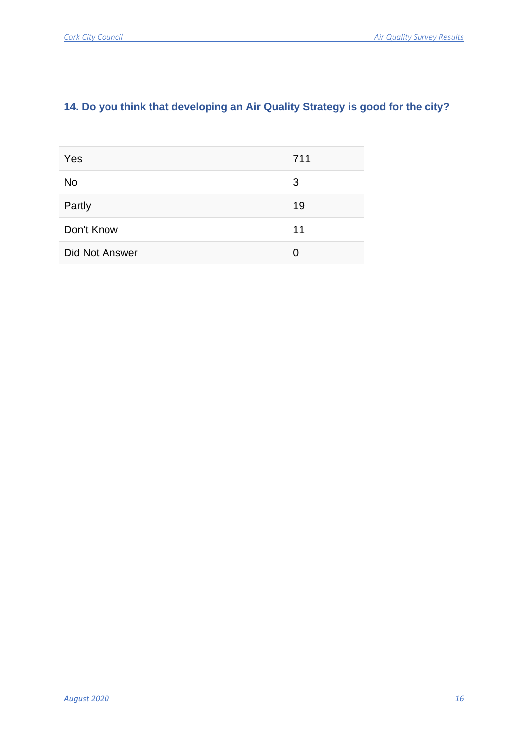# **14. Do you think that developing an Air Quality Strategy is good for the city?**

| Yes                   | 711 |
|-----------------------|-----|
| <b>No</b>             | 3   |
| Partly                | 19  |
| Don't Know            | 11  |
| <b>Did Not Answer</b> | 0   |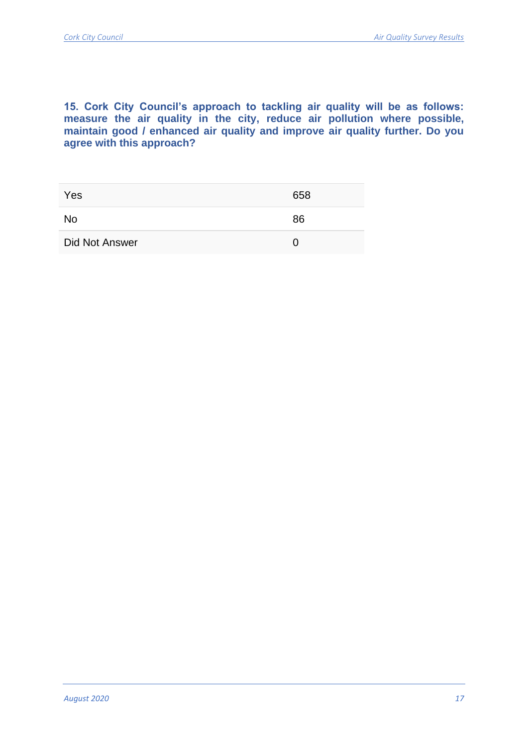#### **15. Cork City Council's approach to tackling air quality will be as follows: measure the air quality in the city, reduce air pollution where possible, maintain good / enhanced air quality and improve air quality further. Do you agree with this approach?**

| Yes            | 658 |
|----------------|-----|
| No             | 86  |
| Did Not Answer |     |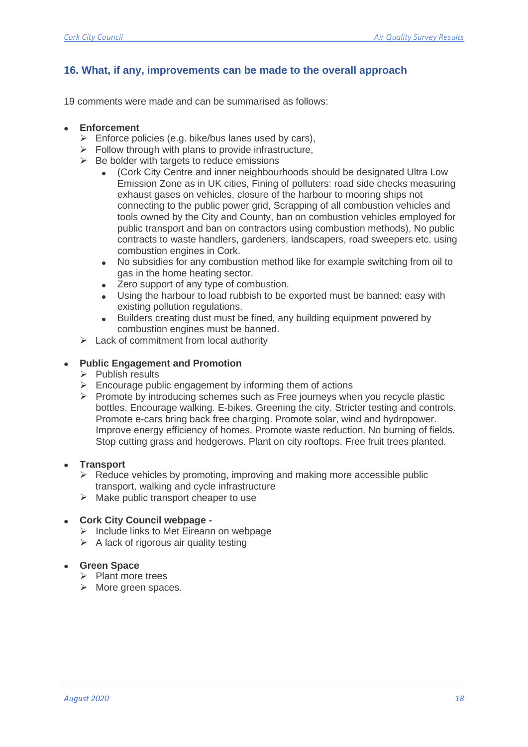### **16. What, if any, improvements can be made to the overall approach**

19 comments were made and can be summarised as follows:

#### • **Enforcement**

- $\triangleright$  Enforce policies (e.g. bike/bus lanes used by cars),
- $\triangleright$  Follow through with plans to provide infrastructure,
- $\triangleright$  Be bolder with targets to reduce emissions
	- (Cork City Centre and inner neighbourhoods should be designated Ultra Low Emission Zone as in UK cities, Fining of polluters: road side checks measuring exhaust gases on vehicles, closure of the harbour to mooring ships not connecting to the public power grid, Scrapping of all combustion vehicles and tools owned by the City and County, ban on combustion vehicles employed for public transport and ban on contractors using combustion methods), No public contracts to waste handlers, gardeners, landscapers, road sweepers etc. using combustion engines in Cork.
	- No subsidies for any combustion method like for example switching from oil to gas in the home heating sector.
	- Zero support of any type of combustion.
	- Using the harbour to load rubbish to be exported must be banned: easy with existing pollution regulations.
	- Builders creating dust must be fined, any building equipment powered by combustion engines must be banned.
- $\triangleright$  Lack of commitment from local authority

#### • **Public Engagement and Promotion**

- ➢ Publish results
- $\triangleright$  Encourage public engagement by informing them of actions
- $\triangleright$  Promote by introducing schemes such as Free journeys when you recycle plastic bottles. Encourage walking. E-bikes. Greening the city. Stricter testing and controls. Promote e-cars bring back free charging. Promote solar, wind and hydropower. Improve energy efficiency of homes. Promote waste reduction. No burning of fields. Stop cutting grass and hedgerows. Plant on city rooftops. Free fruit trees planted.

#### • **Transport**

- $\triangleright$  Reduce vehicles by promoting, improving and making more accessible public transport, walking and cycle infrastructure
- $\triangleright$  Make public transport cheaper to use

#### • **Cork City Council webpage -**

- ➢ Include links to Met Eireann on webpage
- $\triangleright$  A lack of rigorous air quality testing

#### • **Green Space**

- ➢ Plant more trees
- ➢ More green spaces.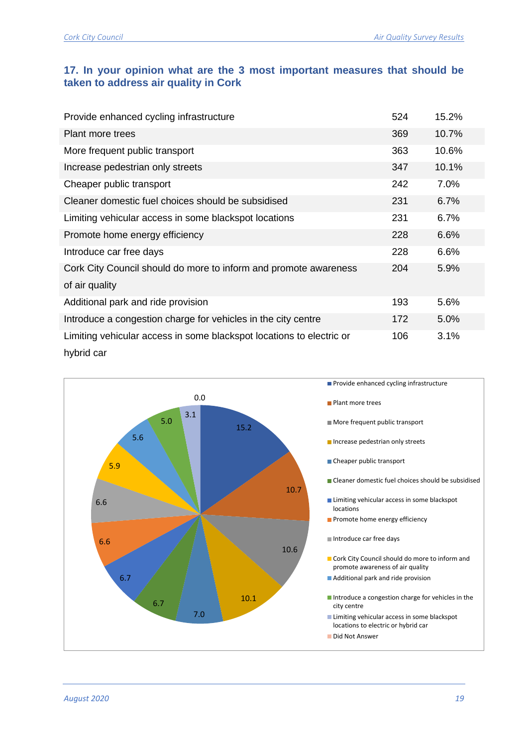## **17. In your opinion what are the 3 most important measures that should be taken to address air quality in Cork**

| Provide enhanced cycling infrastructure                              | 524 | 15.2% |
|----------------------------------------------------------------------|-----|-------|
| <b>Plant more trees</b>                                              | 369 | 10.7% |
| More frequent public transport                                       | 363 | 10.6% |
| Increase pedestrian only streets                                     | 347 | 10.1% |
| Cheaper public transport                                             | 242 | 7.0%  |
| Cleaner domestic fuel choices should be subsidised                   | 231 | 6.7%  |
| Limiting vehicular access in some blackspot locations                | 231 | 6.7%  |
| Promote home energy efficiency                                       | 228 | 6.6%  |
| Introduce car free days                                              | 228 | 6.6%  |
| Cork City Council should do more to inform and promote awareness     | 204 | 5.9%  |
| of air quality                                                       |     |       |
| Additional park and ride provision                                   | 193 | 5.6%  |
| Introduce a congestion charge for vehicles in the city centre        | 172 | 5.0%  |
| Limiting vehicular access in some blackspot locations to electric or | 106 | 3.1%  |
| hybrid car                                                           |     |       |

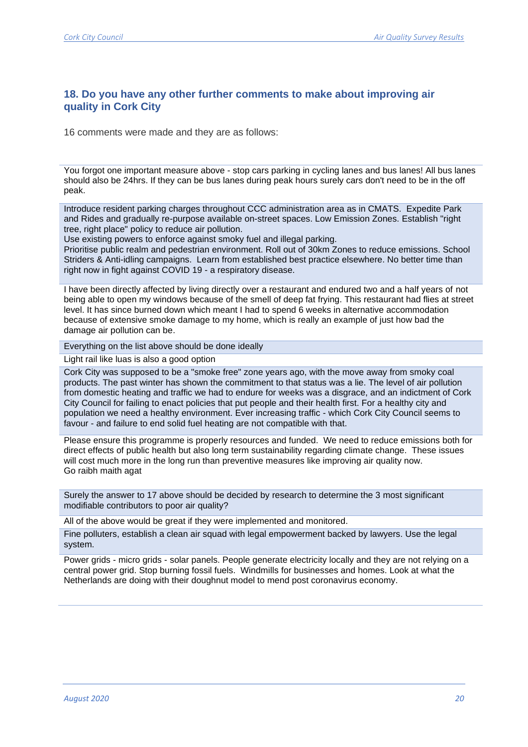#### **18. Do you have any other further comments to make about improving air quality in Cork City**

16 comments were made and they are as follows:

You forgot one important measure above - stop cars parking in cycling lanes and bus lanes! All bus lanes should also be 24hrs. If they can be bus lanes during peak hours surely cars don't need to be in the off peak.

Introduce resident parking charges throughout CCC administration area as in CMATS. Expedite Park and Rides and gradually re-purpose available on-street spaces. Low Emission Zones. Establish "right tree, right place" policy to reduce air pollution.

Use existing powers to enforce against smoky fuel and illegal parking.

Prioritise public realm and pedestrian environment. Roll out of 30km Zones to reduce emissions. School Striders & Anti-idling campaigns. Learn from established best practice elsewhere. No better time than right now in fight against COVID 19 - a respiratory disease.

I have been directly affected by living directly over a restaurant and endured two and a half years of not being able to open my windows because of the smell of deep fat frying. This restaurant had flies at street level. It has since burned down which meant I had to spend 6 weeks in alternative accommodation because of extensive smoke damage to my home, which is really an example of just how bad the damage air pollution can be.

Everything on the list above should be done ideally

Light rail like luas is also a good option

Cork City was supposed to be a "smoke free" zone years ago, with the move away from smoky coal products. The past winter has shown the commitment to that status was a lie. The level of air pollution from domestic heating and traffic we had to endure for weeks was a disgrace, and an indictment of Cork City Council for failing to enact policies that put people and their health first. For a healthy city and population we need a healthy environment. Ever increasing traffic - which Cork City Council seems to favour - and failure to end solid fuel heating are not compatible with that.

Please ensure this programme is properly resources and funded. We need to reduce emissions both for direct effects of public health but also long term sustainability regarding climate change. These issues will cost much more in the long run than preventive measures like improving air quality now. Go raibh maith agat

Surely the answer to 17 above should be decided by research to determine the 3 most significant modifiable contributors to poor air quality?

All of the above would be great if they were implemented and monitored.

Fine polluters, establish a clean air squad with legal empowerment backed by lawyers. Use the legal system.

Power grids - micro grids - solar panels. People generate electricity locally and they are not relying on a central power grid. Stop burning fossil fuels. Windmills for businesses and homes. Look at what the Netherlands are doing with their doughnut model to mend post coronavirus economy.